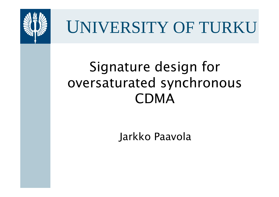

### Signature design for oversaturated synchronous CDMA

Jarkko Paavola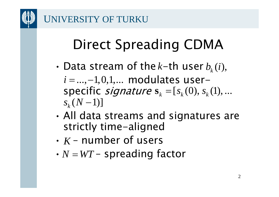## Direct Spreading CDMA

- $\cdot$  Data stream of the  $k$ –th user  $b_{_{k}}(i),$ *i* = ..., –1,0,1,... modulates user– specific *signature*  $\mathbf{s}_k = [s_k(0), s_k(1), ...$  $s_k(N-1)]$
- • All data streams and signatures are strictly time-aligned
- $\boldsymbol{\cdot}$   $K$  number of users
- • $N=WT$  – spreading factor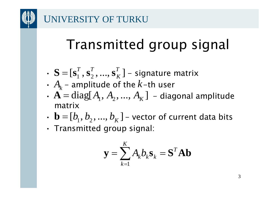## Transmitted group signal

• 
$$
\mathbf{S} = [\mathbf{s}_1^T, \mathbf{s}_2^T, ..., \mathbf{s}_K^T]
$$
 - signature matrix

- • $A_{\!k}^{}$  – amplitude of the  $k$ –th user
- • $\mathbf{A} = \text{diag}[A_1, A_2, ..., A_K]$  – diagonal amplitude matrix
- $\textbf{b} = [b_{\!\scriptscriptstyle 1}^{}, b_{\!\scriptscriptstyle 2}^{}, ..., b_{\scriptscriptstyle K}^{}]$  vector of current data bits
- •Transmitted group signal:

$$
\mathbf{y} = \sum_{k=1}^{K} A_k b_k \mathbf{s}_k = \mathbf{S}^T \mathbf{A} \mathbf{b}
$$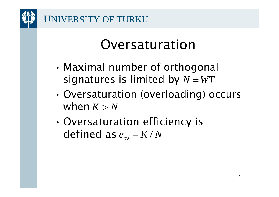### Oversaturation

- • Maximal number of orthogonal signatures is limited by  $N=WT$
- • Oversaturation (overloading) occurs when  $K > N$
- • Oversaturation efficiency is defined as  $e_{ov} = K/N$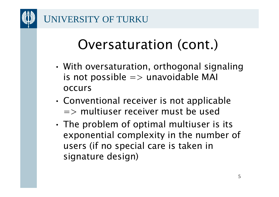### Oversaturation (cont.)

- • With oversaturation, orthogonal signaling is not possible  $\Rightarrow$  unavoidable MAI occurs
- • Conventional receiver is not applicable  $\Rightarrow$  multiuser receiver must be used
- • The problem of optimal multiuser is its exponential complexity in the number of users (if no special care is taken in signature design)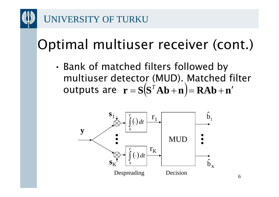

## Optimal multiuser receiver (cont.)

• Bank of matched filters followed by multiuser detector (MUD). Matched filter outputs are  $\mathbf{r} = \mathbf{S}(\mathbf{S}^T \mathbf{A} \mathbf{b} + \mathbf{n}) = \mathbf{R} \mathbf{A} \mathbf{b} + \mathbf{n}'$ 

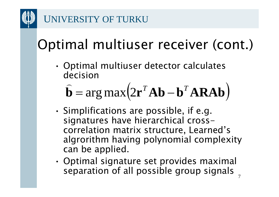## Optimal multiuser receiver (cont.)

• Optimal multiuser detector calculates decision

**b** $\hat{\mathbf{b}} = \arg \max (2\mathbf{r}^T \mathbf{A} \mathbf{b} - \mathbf{b}^T \mathbf{A} \mathbf{R} \mathbf{A} \mathbf{b})$ 

- • Simplifications are possible, if e.g. signatures have hierarchical crosscorrelation matrix structure, Learned's algrorithm having polynomial complexity can be applied.
- 7• Optimal signature set provides maximal separation of all possible group signals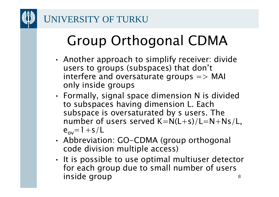

## Group Orthogonal CDMA

- • Another approach to simplify receiver: divide users to groups (subspaces) that don't interfere and oversaturate groups  $\Rightarrow$  MAI only inside groups
- • Formally, signal space dimension N is divided to subspaces having dimension L. Each subspace is oversaturated by s users. The number of users served  $K=N(L+s)/L=N+Ns/L$ ,  $e_{\rm ov} = 1 + s/L$
- • Abbreviation: GO-CDMA (group orthogonal code division multiple access)
- 8• It is possible to use optimal multiuser detector for each group due to small number of users inside group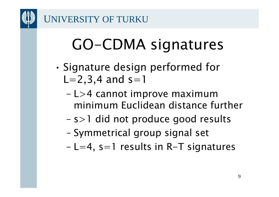# GO-CDMA signatures

- • Signature design performed for  $L=2,3,4$  and  $s=1$ 
	- – L>4 cannot improve maximum minimum Euclidean distance further
	- –s>1 did not produce good results
	- –Symmetrical group signal set
	- –L=4, s=1 results in R-T signatures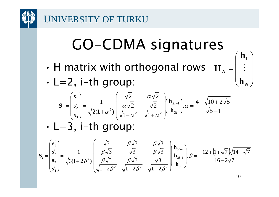

# GO-CDMA signatures

- H matrix with orthogonal rows
- •L=2, i-th group:

$$
\mathbf{S}_{i} = \begin{pmatrix} s_{1}^{i} \\ s_{2}^{i} \\ s_{3}^{i} \end{pmatrix} = \frac{1}{\sqrt{2(1+\alpha^{2})}} \begin{pmatrix} \sqrt{2} & \alpha\sqrt{2} \\ \alpha\sqrt{2} & \sqrt{2} \\ \sqrt{1+\alpha^{2}} & \sqrt{1+\alpha^{2}} \end{pmatrix} \begin{pmatrix} \mathbf{h}_{2i-1} \\ \mathbf{h}_{2i} \end{pmatrix}, \alpha = \frac{4-\sqrt{10+2\sqrt{5}}}{\sqrt{5}-1}
$$
\n•  $\mathbf{L} = 3$ ,  $\mathbf{i} - \mathbf{th}$  group:

$$
\mathbf{S}_{i} = \begin{pmatrix} \mathbf{s}_{1}^{i} \\ \mathbf{s}_{2}^{i} \\ \mathbf{s}_{3}^{i} \\ \mathbf{s}_{4}^{i} \end{pmatrix} = \frac{1}{\sqrt{3(1+2\beta^{2})}} \begin{pmatrix} \sqrt{3} & \beta\sqrt{3} & \beta\sqrt{3} \\ \beta\sqrt{3} & \sqrt{3} & \beta\sqrt{3} \\ \beta\sqrt{3} & \beta\sqrt{3} & \sqrt{3} \\ \sqrt{1+2\beta^{2}} & \sqrt{1+2\beta^{2}} & \sqrt{1+2\beta^{2}} \end{pmatrix} \begin{pmatrix} \mathbf{h}_{3i-2} \\ \mathbf{h}_{3i-1} \\ \mathbf{h}_{3i} \end{pmatrix}, \beta = \frac{-12 + (1+\sqrt{7})\sqrt{14-\sqrt{7}}}{16-2\sqrt{7}}
$$

 $\begin{bmatrix} \mathbf{h}_1 \\ \vdots \end{bmatrix}$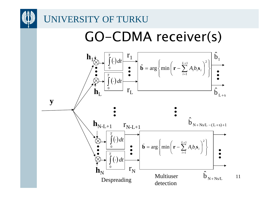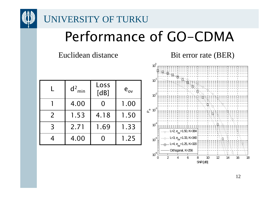

### Performance of GO-CDMA

Euclidean distance Bit error rate (BER)

|                | $d^2_{min}$ | Loss<br>[dB] | $e_{ov}$ |  |
|----------------|-------------|--------------|----------|--|
|                | 4.00        | 0            | 1.00     |  |
| $\overline{2}$ | 1.53        | 4.18         | 1.50     |  |
| 3              | 2.71        | 1.69         | 1.33     |  |
|                | 4.00        |              | 1.25     |  |

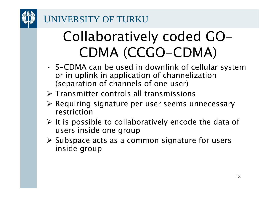

### Collaboratively coded GO-CDMA (CCGO-CDMA)

- • S-CDMA can be used in downlink of cellular system or in uplink in application of channelization (separation of channels of one user)
- ¾ Transmitter controls all transmissions
- ¾ Requiring signature per user seems unnecessary restriction
- $\triangleright$  It is possible to collaboratively encode the data of users inside one group
- ¾ Subspace acts as a common signature for users inside group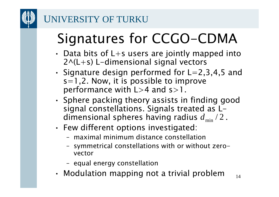

## Signatures for CCGO-CDMA

- • Data bits of L+s users are jointly mapped into  $2^{\wedge}$ (L+s) L-dimensional signal vectors
- • Signature design performed for L=2,3,4,5 and s=1,2. Now, it is possible to improve performance with  $L>4$  and  $s>1$ .
- • Sphere packing theory assists in finding good signal constellations. Signals treated as Ldimensional spheres having radius  $d_{\min}$  /  $\!$  .
- • Few different options investigated:
	- maximal minimum distance constellation
	- symmetrical constellations with or without zerovector
	- equal energy constellation
- •Modulation mapping not a trivial problem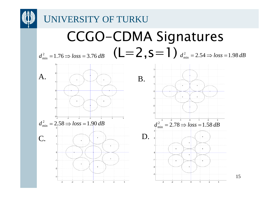

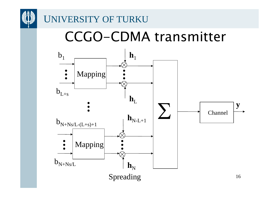

#### CCGO-CDMA transmitter

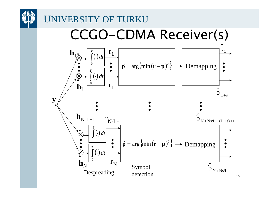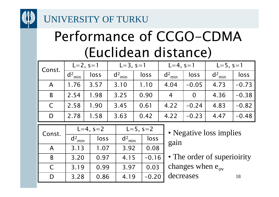

### Performance of CCGO-CDMA (Euclidean distance)

| Const.       | $L=2, s=1$  |      | $L = 3, s = 1$ |      | $L = 4, s = 1$ |          | $L = 5, s = 1$ |         |
|--------------|-------------|------|----------------|------|----------------|----------|----------------|---------|
|              | $d^2_{min}$ | loss | $d^2_{min}$    | loss | $d^2_{min}$    | loss     | $d^2_{min}$    | loss    |
| A            | 1.76        | 3.57 | 3.10           | 1.10 | 4.04           | $-0.05$  | 4.73           | $-0.73$ |
| B            | 2.54        | 1.98 | 3.25           | 0.90 | 4              | $\Omega$ | 4.36           | $-0.38$ |
| $\mathsf{C}$ | 2.58        | 1.90 | 3.45           | 0.61 | 4.22           | $-0.24$  | 4.83           | $-0.82$ |
| D            | 2.78        | 1.58 | 3.63           | 0.42 | 4.22           | $-0.23$  | 4.47           | $-0.48$ |

| Const.    |             | $L = 4$ , s = 2 | $L = 5$ , s = 2 |         |  |
|-----------|-------------|-----------------|-----------------|---------|--|
|           | $d^2_{min}$ | loss            | $d^2_{min}$     | loss    |  |
| A         | 3.13        | 1.07            | 3.92            | 0.08    |  |
| R         | 3.20        | 0.97            | 4.15            | $-0.16$ |  |
| $\subset$ | 3.19        | 0.99            | 3.97            | 0.03    |  |
|           | 3.28        | 0.86            | 4.19            | $-0.20$ |  |

 • Negative loss implies gain

18• The order of superioirity changes when  $e_{ov}$ decreases